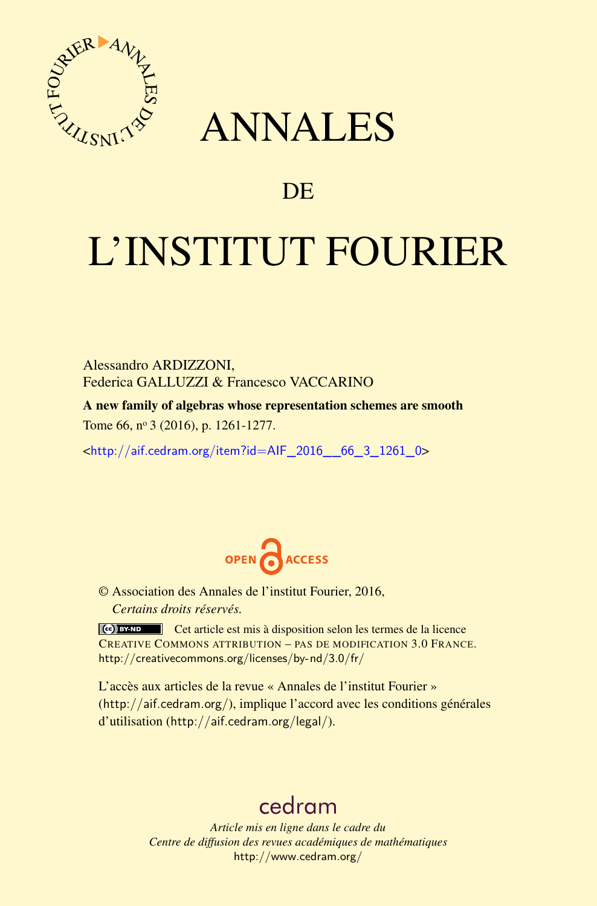

## ANNALES

### **DE**

# L'INSTITUT FOURIER

Alessandro ARDIZZONI, Federica GALLUZZI & Francesco VACCARINO

A new family of algebras whose representation schemes are smooth Tome 66, nº 3 (2016), p. 1261-1277.

<[http://aif.cedram.org/item?id=AIF\\_2016\\_\\_66\\_3\\_1261\\_0](http://aif.cedram.org/item?id=AIF_2016__66_3_1261_0)>



© Association des Annales de l'institut Fourier, 2016, *Certains droits réservés.*

Cet article est mis à disposition selon les termes de la licence CREATIVE COMMONS ATTRIBUTION – PAS DE MODIFICATION 3.0 FRANCE. <http://creativecommons.org/licenses/by-nd/3.0/fr/>

L'accès aux articles de la revue « Annales de l'institut Fourier » (<http://aif.cedram.org/>), implique l'accord avec les conditions générales d'utilisation (<http://aif.cedram.org/legal/>).

## [cedram](http://www.cedram.org/)

*Article mis en ligne dans le cadre du Centre de diffusion des revues académiques de mathématiques* <http://www.cedram.org/>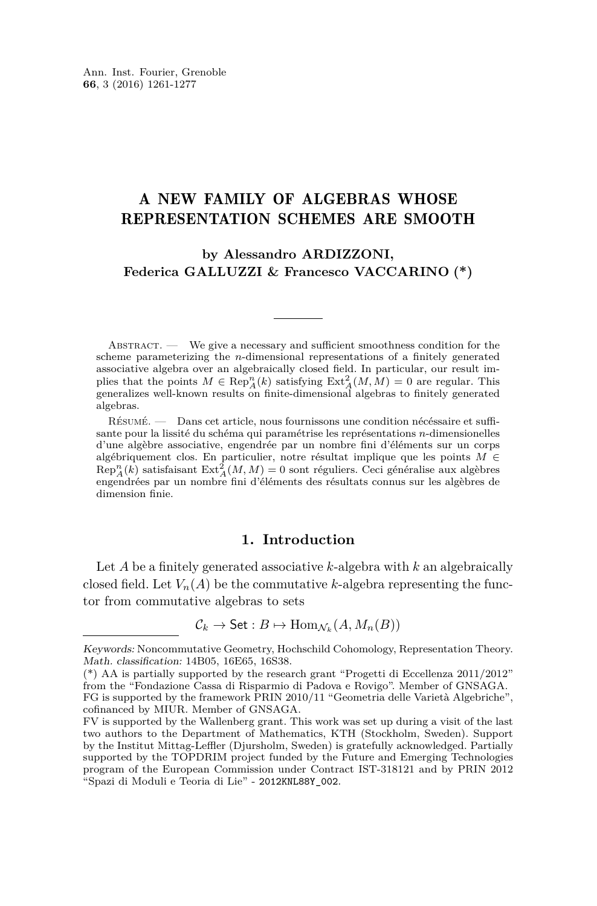#### A NEW FAMILY OF ALGEBRAS WHOSE REPRESENTATION SCHEMES ARE SMOOTH

**by Alessandro ARDIZZONI, Federica GALLUZZI & Francesco VACCARINO (\*)**

ABSTRACT. — We give a necessary and sufficient smoothness condition for the scheme parameterizing the *n*-dimensional representations of a finitely generated associative algebra over an algebraically closed field. In particular, our result implies that the points  $M \in \text{Rep}_A^n(k)$  satisfying  $\text{Ext}_A^2(M, M) = 0$  are regular. This generalizes well-known results on finite-dimensional algebras to finitely generated algebras.

Résumé. — Dans cet article, nous fournissons une condition nécéssaire et suffisante pour la lissité du schéma qui paramétrise les représentations *n*-dimensionelles d'une algèbre associative, engendrée par un nombre fini d'éléments sur un corps algébriquement clos. En particulier, notre résultat implique que les points *M* ∈  $\text{Rep}_A^n(k)$  satisfaisant  $\text{Ext}_A^2(M, M) = 0$  sont réguliers. Ceci généralise aux algèbres engendrées par un nombre fini d'éléments des résultats connus sur les algèbres de dimension finie.

#### **1. Introduction**

Let *A* be a finitely generated associative *k*-algebra with *k* an algebraically closed field. Let  $V_n(A)$  be the commutative *k*-algebra representing the functor from commutative algebras to sets

$$
\mathcal{C}_k \to \mathsf{Set}: B \mapsto \mathrm{Hom}_{\mathcal{N}_k}(A, M_n(B))
$$

Keywords: Noncommutative Geometry, Hochschild Cohomology, Representation Theory. Math. classification: 14B05, 16E65, 16S38.

<sup>(\*)</sup> AA is partially supported by the research grant "Progetti di Eccellenza 2011/2012" from the "Fondazione Cassa di Risparmio di Padova e Rovigo". Member of GNSAGA. FG is supported by the framework PRIN 2010/11 "Geometria delle Varietà Algebriche",

cofinanced by MIUR. Member of GNSAGA.

FV is supported by the Wallenberg grant. This work was set up during a visit of the last two authors to the Department of Mathematics, KTH (Stockholm, Sweden). Support by the Institut Mittag-Leffler (Djursholm, Sweden) is gratefully acknowledged. Partially supported by the TOPDRIM project funded by the Future and Emerging Technologies program of the European Commission under Contract IST-318121 and by PRIN 2012 "Spazi di Moduli e Teoria di Lie" - 2012KNL88Y\_002.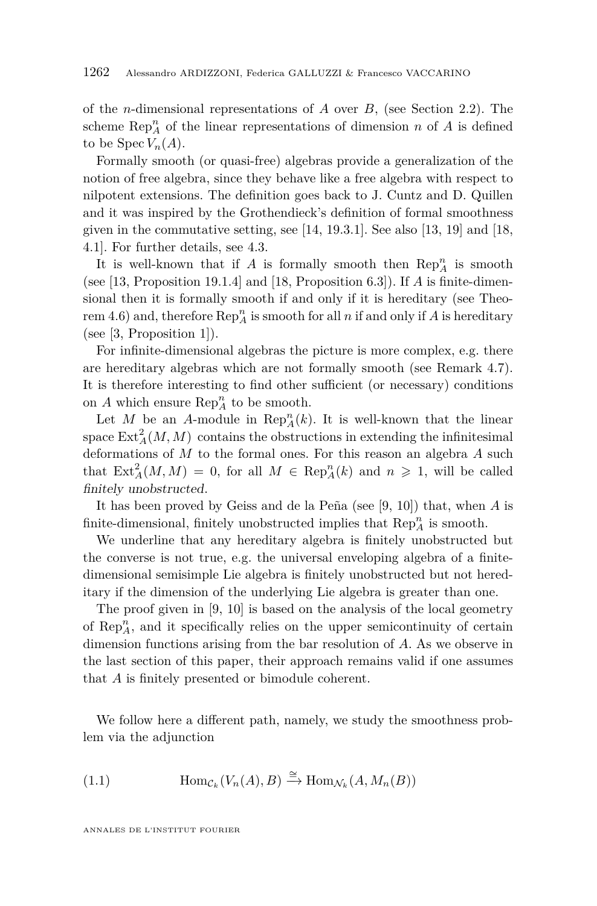of the *n*-dimensional representations of *A* over *B,* (see Section [2.2\)](#page-5-0). The scheme  $\operatorname{Rep}_A^n$  of the linear representations of dimension *n* of *A* is defined to be Spec  $V_n(A)$ .

Formally smooth (or quasi-free) algebras provide a generalization of the notion of free algebra, since they behave like a free algebra with respect to nilpotent extensions. The definition goes back to J. Cuntz and D. Quillen and it was inspired by the Grothendieck's definition of formal smoothness given in the commutative setting, see [\[14,](#page-16-0) 19.3.1]. See also [\[13,](#page-16-1) 19] and [\[18,](#page-16-2) 4.1]. For further details, see [4.3.](#page-10-0)

It is well-known that if  $A$  is formally smooth then  $\mathrm{Rep}_A^n$  is smooth (see [\[13,](#page-16-1) Proposition 19.1.4] and [\[18,](#page-16-2) Proposition 6.3]). If *A* is finite-dimensional then it is formally smooth if and only if it is hereditary (see Theo-rem [4.6\)](#page-10-1) and, therefore  $\text{Rep}_A^n$  is smooth for all *n* if and only if *A* is hereditary (see [\[3,](#page-15-0) Proposition 1]).

For infinite-dimensional algebras the picture is more complex, e.g. there are hereditary algebras which are not formally smooth (see Remark [4.7\)](#page-11-0). It is therefore interesting to find other sufficient (or necessary) conditions on  $A$  which ensure  $\operatorname{Rep}_A^n$  to be smooth.

Let *M* be an *A*-module in  $\text{Rep}_A^n(k)$ . It is well-known that the linear space  $\text{Ext}_{A}^{2}(M, M)$  contains the obstructions in extending the infinitesimal deformations of *M* to the formal ones. For this reason an algebra *A* such that  $\text{Ext}_{A}^{2}(M, M) = 0$ , for all  $M \in \text{Rep}_{A}^{n}(k)$  and  $n \geq 1$ , will be called finitely unobstructed.

It has been proved by Geiss and de la Peña (see [\[9,](#page-16-3) [10\]](#page-16-4)) that, when *A* is finite-dimensional, finitely unobstructed implies that  $\mathrm{Rep}_A^n$  is smooth.

We underline that any hereditary algebra is finitely unobstructed but the converse is not true, e.g. the universal enveloping algebra of a finitedimensional semisimple Lie algebra is finitely unobstructed but not hereditary if the dimension of the underlying Lie algebra is greater than one.

The proof given in [\[9,](#page-16-3) [10\]](#page-16-4) is based on the analysis of the local geometry of  $\text{Rep}_A^n$ , and it specifically relies on the upper semicontinuity of certain dimension functions arising from the bar resolution of *A.* As we observe in the last section of this paper, their approach remains valid if one assumes that *A* is finitely presented or bimodule coherent.

We follow here a different path, namely, we study the smoothness problem via the adjunction

<span id="page-2-0"></span>(1.1) 
$$
\text{Hom}_{\mathcal{C}_k}(V_n(A), B) \xrightarrow{\cong} \text{Hom}_{\mathcal{N}_k}(A, M_n(B))
$$

ANNALES DE L'INSTITUT FOURIER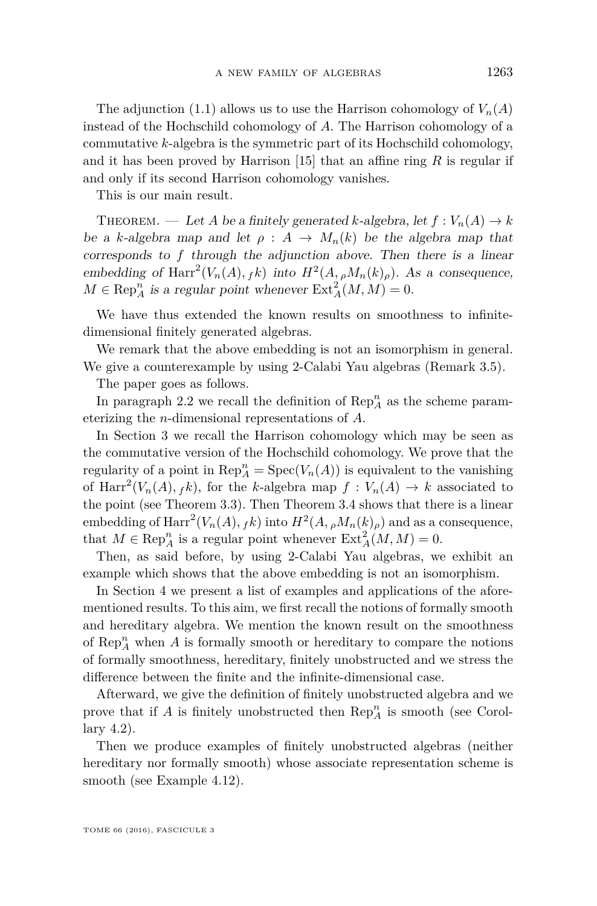The adjunction [\(1.1\)](#page-2-0) allows us to use the Harrison cohomology of  $V_n(A)$ instead of the Hochschild cohomology of *A*. The Harrison cohomology of a commutative *k*-algebra is the symmetric part of its Hochschild cohomology, and it has been proved by Harrison [\[15\]](#page-16-5) that an affine ring *R* is regular if and only if its second Harrison cohomology vanishes.

This is our main result.

THEOREM. — Let *A* be a finitely generated *k*-algebra, let  $f: V_n(A) \to k$ be a *k*-algebra map and let  $\rho : A \rightarrow M_n(k)$  be the algebra map that corresponds to *f* through the adjunction above. Then there is a linear embedding of Harr<sup>2</sup>( $V_n(A)$ ,  ${}_{f}k$ ) into  $H^2(A, {}_{\rho}M_n(k)_{\rho})$ . As a consequence,  $M \in \text{Rep}_{A}^{n}$  is a regular point whenever  $\text{Ext}_{A}^{2}(M, M) = 0$ .

We have thus extended the known results on smoothness to infinitedimensional finitely generated algebras.

We remark that the above embedding is not an isomorphism in general. We give a counterexample by using 2-Calabi Yau algebras (Remark [3.5\)](#page-8-0).

The paper goes as follows.

In paragraph [2.2](#page-5-0) we recall the definition of  $\mathrm{Rep}_A^n$  as the scheme parameterizing the *n*-dimensional representations of *A.*

In Section [3](#page-6-0) we recall the Harrison cohomology which may be seen as the commutative version of the Hochschild cohomology. We prove that the regularity of a point in  $\text{Rep}_A^n = \text{Spec}(V_n(A))$  is equivalent to the vanishing of  $\text{Harr}^2(V_n(A), f_k)$ , for the *k*-algebra map  $f: V_n(A) \to k$  associated to the point (see Theorem [3.3\)](#page-7-0). Then Theorem [3.4](#page-7-1) shows that there is a linear embedding of  $\text{Harr}^2(V_n(A), f k)$  into  $H^2(A, {}_\rho M_n(k)_\rho)$  and as a consequence, that  $M \in \text{Rep}_A^n$  is a regular point whenever  $\text{Ext}_A^2(M, M) = 0$ .

Then, as said before, by using 2-Calabi Yau algebras, we exhibit an example which shows that the above embedding is not an isomorphism.

In Section [4](#page-9-0) we present a list of examples and applications of the aforementioned results. To this aim, we first recall the notions of formally smooth and hereditary algebra. We mention the known result on the smoothness of  $\text{Rep}_A^n$  when  $A$  is formally smooth or hereditary to compare the notions of formally smoothness, hereditary, finitely unobstructed and we stress the difference between the finite and the infinite-dimensional case.

Afterward, we give the definition of finitely unobstructed algebra and we prove that if  $A$  is finitely unobstructed then  $\operatorname{Rep}_A^n$  is smooth (see Corollary [4.2\)](#page-9-1).

Then we produce examples of finitely unobstructed algebras (neither hereditary nor formally smooth) whose associate representation scheme is smooth (see Example [4.12\)](#page-12-0).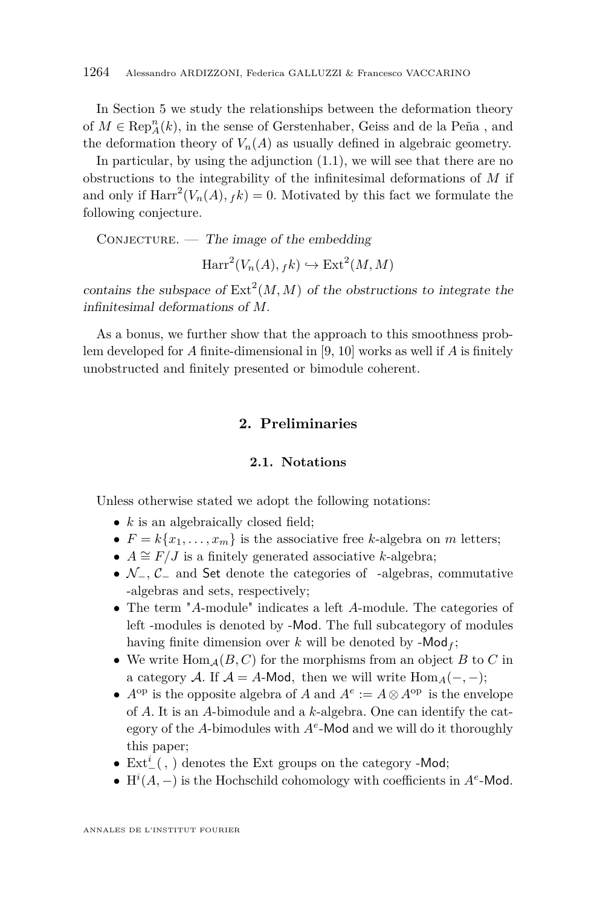In Section [5](#page-13-0) we study the relationships between the deformation theory of  $M\in \operatorname{Rep}_A^n(k),$  in the sense of Gerstenhaber, Geiss and de la Peña , and the deformation theory of  $V_n(A)$  as usually defined in algebraic geometry.

In particular, by using the adjunction  $(1.1)$ , we will see that there are no obstructions to the integrability of the infinitesimal deformations of *M* if and only if  $\text{Harr}^2(V_n(A), f_k) = 0$ . Motivated by this fact we formulate the following conjecture.

 $\text{Conv1} = \text{True}$  image of the embedding

 $\text{Harr}^2(V_n(A), f_k) \hookrightarrow \text{Ext}^2(M, M)$ 

contains the subspace of  $\text{Ext}^2(M, M)$  of the obstructions to integrate the infinitesimal deformations of *M.*

As a bonus, we further show that the approach to this smoothness problem developed for *A* finite-dimensional in [\[9,](#page-16-3) [10\]](#page-16-4) works as well if *A* is finitely unobstructed and finitely presented or bimodule coherent.

#### **2. Preliminaries**

#### **2.1. Notations**

Unless otherwise stated we adopt the following notations:

- *k* is an algebraically closed field;
- $F = k\{x_1, \ldots, x_m\}$  is the associative free *k*-algebra on *m* letters;
- $A \cong F/J$  is a finitely generated associative *k*-algebra;
- N−*,* C<sup>−</sup> and Set denote the categories of -algebras, commutative -algebras and sets, respectively;
- The term "*A*-module" indicates a left *A*-module. The categories of left -modules is denoted by -Mod. The full subcategory of modules having finite dimension over  $k$  will be denoted by  $-Mod<sub>f</sub>$ ;
- We write  $\text{Hom}_{\mathcal{A}}(B, C)$  for the morphisms from an object B to C in a category A. If  $A = A$ -Mod, then we will write  $\text{Hom}_A(-, -)$ ;
- $A^{\text{op}}$  is the opposite algebra of *A* and  $A^e := A \otimes A^{\text{op}}$  is the envelope of *A*. It is an *A*-bimodule and a *k*-algebra. One can identify the category of the *A*-bimodules with *A<sup>e</sup>* -Mod and we will do it thoroughly this paper;
- $\bullet \; \operatorname{Ext}\nolimits^i_-(\, , \,)$  denotes the Ext groups on the category -Mod;
- H<sup>*i*</sup>(*A*, –) is the Hochschild cohomology with coefficients in  $A<sup>e</sup>$ -Mod.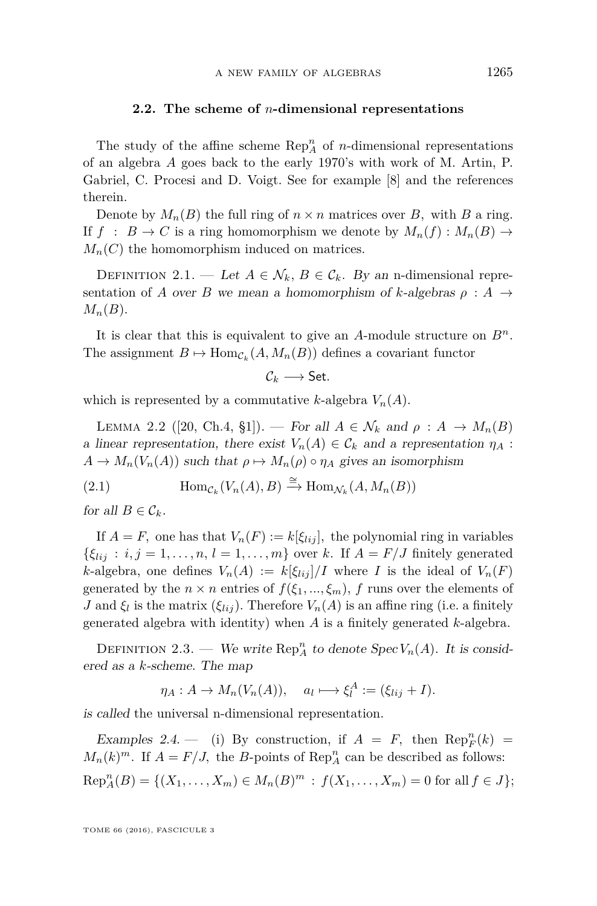#### **2.2. The scheme of** *n***-dimensional representations**

<span id="page-5-0"></span>The study of the affine scheme  $\operatorname{Rep}_A^n$  of *n*-dimensional representations of an algebra *A* goes back to the early 1970's with work of M. Artin, P. Gabriel, C. Procesi and D. Voigt. See for example [\[8\]](#page-16-6) and the references therein.

Denote by  $M_n(B)$  the full ring of  $n \times n$  matrices over *B*, with *B* a ring. If  $f : B \to C$  is a ring homomorphism we denote by  $M_n(f) : M_n(B) \to$  $M_n(C)$  the homomorphism induced on matrices.

DEFINITION 2.1. — Let  $A \in \mathcal{N}_k$ ,  $B \in \mathcal{C}_k$ . By an n-dimensional representation of *A* over *B* we mean a homomorphism of *k*-algebras  $\rho : A \rightarrow$  $M_n(B)$ .

It is clear that this is equivalent to give an *A*-module structure on *Bn.* The assignment  $B \mapsto \text{Hom}_{\mathcal{C}_k}(A, M_n(B))$  defines a covariant functor

 $\mathcal{C}_k \longrightarrow$  Set.

which is represented by a commutative *k*-algebra  $V_n(A)$ *.* 

<span id="page-5-1"></span>LEMMA 2.2 ([\[20,](#page-16-7) Ch.4, §1]). — For all  $A \in \mathcal{N}_k$  and  $\rho : A \rightarrow M_n(B)$ a linear representation, there exist  $V_n(A) \in \mathcal{C}_k$  and a representation  $\eta_A$ :  $A \to M_n(V_n(A))$  such that  $\rho \mapsto M_n(\rho) \circ \eta_A$  gives an isomorphism

<span id="page-5-2"></span>(2.1) 
$$
\text{Hom}_{\mathcal{C}_k}(V_n(A), B) \xrightarrow{\cong} \text{Hom}_{\mathcal{N}_k}(A, M_n(B))
$$

for all  $B \in \mathcal{C}_k$ .

If  $A = F$ , one has that  $V_n(F) := k[\xi_{lij}]$ , the polynomial ring in variables  $\{\xi_{lij}: i, j = 1, \ldots, n, l = 1, \ldots, m\}$  over *k*. If  $A = F/J$  finitely generated *k*-algebra, one defines  $V_n(A) := k[\xi_{lij}]/I$  where *I* is the ideal of  $V_n(F)$ generated by the  $n \times n$  entries of  $f(\xi_1, ..., \xi_m)$ ,  $f$  runs over the elements of *J* and  $\xi_l$  is the matrix  $(\xi_{lij})$ . Therefore  $V_n(A)$  is an affine ring (i.e. a finitely generated algebra with identity) when *A* is a finitely generated *k*-algebra.

<span id="page-5-3"></span>DEFINITION 2.3. — We write  $\text{Rep}_A^n$  to denote  $\text{Spec } V_n(A)$ . It is considered as a *k*-scheme. The map

$$
\eta_A: A \to M_n(V_n(A)), \quad a_l \mapsto \xi_l^A := (\xi_{lij} + I).
$$

is called the universal n-dimensional representation.

Examples 2.4.  $\qquad$  (i) By construction, if  $A = F$ , then  $\text{Rep}_F^n(k) =$  $M_n(k)^m$ . If  $A = F/J$ , the *B*-points of Rep<sub>*A*</sub> can be described as follows:  $\text{Rep}_A^n(B) = \{(X_1, \ldots, X_m) \in M_n(B)^m : f(X_1, \ldots, X_m) = 0 \text{ for all } f \in J\};$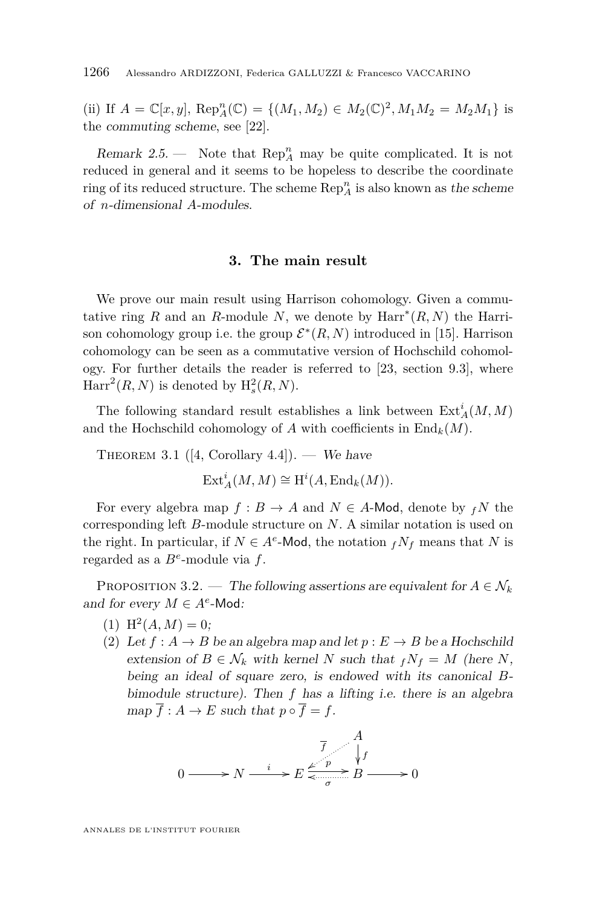(ii) If  $A = \mathbb{C}[x, y]$ ,  $\text{Rep}_A^n(\mathbb{C}) = \{(M_1, M_2) \in M_2(\mathbb{C})^2, M_1M_2 = M_2M_1\}$  is the commuting scheme, see [\[22\]](#page-16-8).

Remark 2.5. — Note that  $\text{Rep}_A^n$  may be quite complicated. It is not reduced in general and it seems to be hopeless to describe the coordinate ring of its reduced structure. The scheme  $\mathrm{Rep}^n_A$  is also known as the scheme of *n*-dimensional *A*-modules.

#### **3. The main result**

<span id="page-6-0"></span>We prove our main result using Harrison cohomology. Given a commutative ring *R* and an *R*-module *N*, we denote by  $\text{Harr}^*(R, N)$  the Harrison cohomology group i.e. the group  $\mathcal{E}^*(R,N)$  introduced in [\[15\]](#page-16-5). Harrison cohomology can be seen as a commutative version of Hochschild cohomology. For further details the reader is referred to [\[23,](#page-16-9) section 9.3], where  $\text{Harr}^2(R, N)$  is denoted by  $H_s^2(R, N)$ .

The following standard result establishes a link between  $\text{Ext}_{A}^{i}(M, M)$ and the Hochschild cohomology of *A* with coefficients in  $\text{End}_k(M)$ .

<span id="page-6-1"></span>THEOREM 3.1 ([\[4,](#page-15-1) Corollary 4.4]). — We have  $\mathrm{Ext}^i_A(M, M) \cong \mathrm{H}^i(A, \mathrm{End}_k(M)).$ 

For every algebra map  $f : B \to A$  and  $N \in A$ -Mod, denote by  $fN$  the corresponding left *B*-module structure on *N*. A similar notation is used on the right. In particular, if  $N \in A^e$ -Mod, the notation  $f N_f$  means that *N* is regarded as a *B<sup>e</sup>* -module via *f*.

<span id="page-6-2"></span>PROPOSITION 3.2. — The following assertions are equivalent for  $A \in \mathcal{N}_k$ and for every  $M \in A^e$ -Mod:

- $(1)$  H<sup>2</sup> $(A, M) = 0;$
- (2) Let  $f : A \to B$  be an algebra map and let  $p : E \to B$  be a Hochschild extension of  $B \in \mathcal{N}_k$  with kernel *N* such that  $f N_f = M$  (here *N*, being an ideal of square zero, is endowed with its canonical *B*bimodule structure). Then *f* has a lifting i.e. there is an algebra  $map \ \overline{f}: A \to E$  such that  $p \circ \overline{f} = f$ .



ANNALES DE L'INSTITUT FOURIER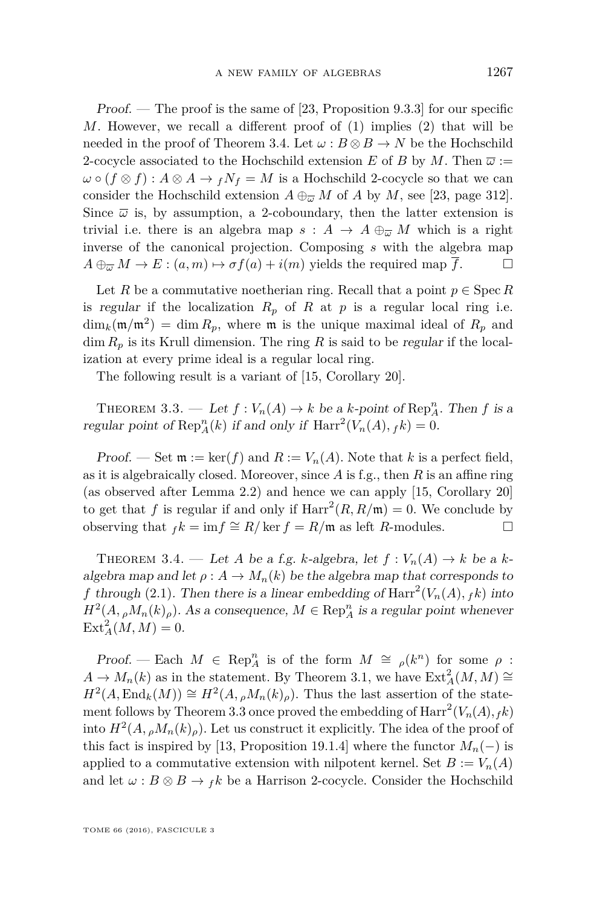Proof. — The proof is the same of [\[23,](#page-16-9) Proposition 9.3.3] for our specific *M*. However, we recall a different proof of (1) implies (2) that will be needed in the proof of Theorem [3.4.](#page-7-1) Let  $\omega : B \otimes B \to N$  be the Hochschild 2-cocycle associated to the Hochschild extension *E* of *B* by *M*. Then  $\bar{\omega}$  :=  $\omega \circ (f \otimes f) : A \otimes A \to f N_f = M$  is a Hochschild 2-cocycle so that we can consider the Hochschild extension  $A \oplus_{\overline{\omega}} M$  of *A* by *M*, see [\[23,](#page-16-9) page 312]. Since  $\bar{\omega}$  is, by assumption, a 2-coboundary, then the latter extension is trivial i.e. there is an algebra map  $s : A \rightarrow A \oplus_{\overline{\omega}} M$  which is a right inverse of the canonical projection. Composing *s* with the algebra map  $A \oplus_{\overline{\omega}} M \to E : (a, m) \mapsto \sigma f(a) + i(m)$  yields the required map  $\overline{f}$ .

Let *R* be a commutative noetherian ring. Recall that a point  $p \in \text{Spec } R$ is regular if the localization  $R_p$  of  $R$  at  $p$  is a regular local ring i.e.  $\dim_k(\mathfrak{m}/\mathfrak{m}^2) = \dim R_p$ , where  $\mathfrak{m}$  is the unique maximal ideal of  $R_p$  and  $\dim R_p$  is its Krull dimension. The ring R is said to be regular if the localization at every prime ideal is a regular local ring.

The following result is a variant of [\[15,](#page-16-5) Corollary 20].

<span id="page-7-0"></span>THEOREM 3.3. — Let  $f: V_n(A) \to k$  be a *k*-point of Rep<sup>n</sup><sub>*A*</sub>. Then *f* is a regular point of  $\text{Rep}_A^n(k)$  if and only if  $\text{Harr}^2(V_n(A), f(k)) = 0$ .

Proof. — Set  $\mathfrak{m} := \ker(f)$  and  $R := V_n(A)$ . Note that k is a perfect field, as it is algebraically closed. Moreover, since *A* is f.g., then *R* is an affine ring (as observed after Lemma [2.2\)](#page-5-1) and hence we can apply [\[15,](#page-16-5) Corollary 20] to get that *f* is regular if and only if  $\text{Harr}^2(R, R/\mathfrak{m}) = 0$ . We conclude by observing that  $f_k = \inf \cong R/\ker f = R/\mathfrak{m}$  as left *R*-modules. □

<span id="page-7-1"></span>THEOREM 3.4. — Let *A* be a f.g. *k*-algebra, let  $f: V_n(A) \to k$  be a *k*algebra map and let  $\rho: A \to M_n(k)$  be the algebra map that corresponds to *f* through [\(2.1\)](#page-5-2). Then there is a linear embedding of  $\text{Harr}^2(V_n(A), f_k)$  into  $H^2(A, \rho M_n(k)_{\rho})$ . As a consequence,  $M \in \text{Rep}_A^n$  is a regular point whenever  $\text{Ext}_{A}^{2}(M, M) = 0.$ 

Proof. — Each  $M \in \text{Rep}_A^n$  is of the form  $M \cong \rho(k^n)$  for some  $\rho$ :  $A \to M_n(k)$  as in the statement. By Theorem [3.1,](#page-6-1) we have  $\text{Ext}^2_A(M, M) \cong$  $H^2(A, \text{End}_k(M)) \cong H^2(A, {}_\rho M_n(k)_\rho)$ . Thus the last assertion of the state-ment follows by Theorem [3.3](#page-7-0) once proved the embedding of  $\text{Harr}^2(V_n(A), f_k)$ into  $H^2(A, \rho M_n(k)_{\rho})$ . Let us construct it explicitly. The idea of the proof of this fact is inspired by [\[13,](#page-16-1) Proposition 19.1.4] where the functor  $M_n(-)$  is applied to a commutative extension with nilpotent kernel. Set  $B := V_n(A)$ and let  $\omega : B \otimes B \to f k$  be a Harrison 2-cocycle. Consider the Hochschild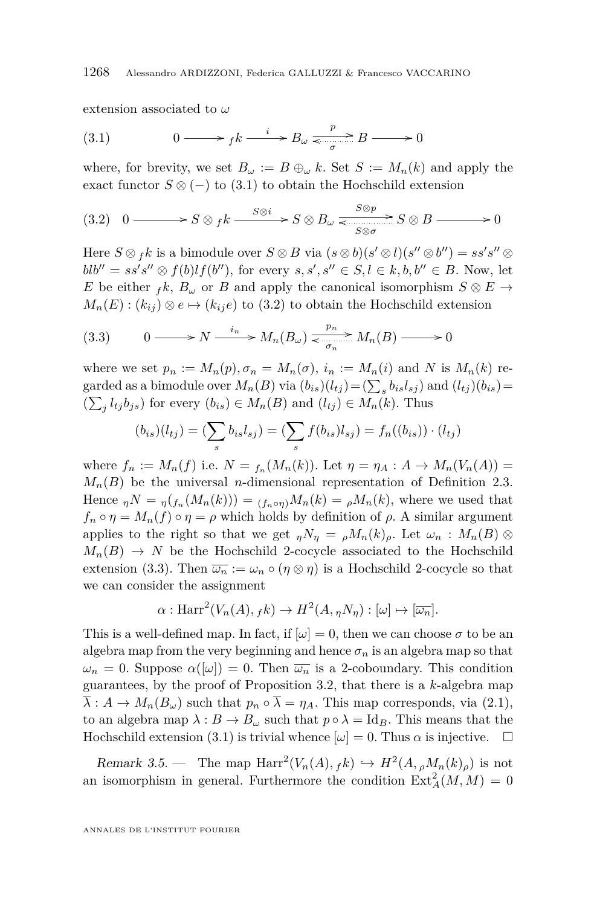extension associated to *ω*

<span id="page-8-1"></span>(3.1) 
$$
0 \longrightarrow f k \xrightarrow{i} B_{\omega} \xrightarrow{\frac{p}{\sigma}} B \longrightarrow 0
$$

where, for brevity, we set  $B_{\omega} := B \oplus_{\omega} k$ . Set  $S := M_n(k)$  and apply the exact functor  $S \otimes (-)$  to [\(3.1\)](#page-8-1) to obtain the Hochschild extension

<span id="page-8-2"></span>
$$
(3.2) \quad 0 \longrightarrow S \otimes_{f} k \xrightarrow{S \otimes i} S \otimes B_{\omega} \xrightarrow{S \otimes p} S \otimes B \longrightarrow 0
$$

Here  $S \otimes f k$  is a bimodule over  $S \otimes B$  via  $(s \otimes b)(s' \otimes l)(s'' \otimes b'') = ss's'' \otimes b''$  $blb'' = ss's'' \otimes f(b)lf(b''),$  for every  $s, s', s'' \in S, l \in k, b, b'' \in B$ . Now, let *E* be either  $f k$ ,  $B_{\omega}$  or *B* and apply the canonical isomorphism  $S \otimes E \rightarrow$  $M_n(E)$ :  $(k_{ij}) \otimes e \mapsto (k_{ij}e)$  to [\(3.2\)](#page-8-2) to obtain the Hochschild extension

<span id="page-8-3"></span>(3.3) 
$$
0 \longrightarrow N \xrightarrow{i_n} M_n(B_\omega) \xleftarrow{p_n} M_n(B) \longrightarrow 0
$$

where we set  $p_n := M_n(p), \sigma_n = M_n(\sigma), i_n := M_n(i)$  and N is  $M_n(k)$  regarded as a bimodule over  $M_n(B)$  via  $(b_{is})(l_{tj}) = (\sum_s b_{is}l_{sj})$  and  $(l_{tj})(b_{is}) =$  $(\sum_{j} l_{tj}b_{js})$  for every  $(b_{is}) \in M_n(B)$  and  $(l_{tj}) \in M_n(k)$ . Thus

$$
(b_{is})(l_{tj}) = (\sum_{s} b_{is} l_{sj}) = (\sum_{s} f(b_{is}) l_{sj}) = f_n((b_{is})) \cdot (l_{tj})
$$

where  $f_n := M_n(f)$  i.e.  $N = f_n(M_n(k))$ . Let  $\eta = \eta_A : A \to M_n(V_n(A)) =$  $M_n(B)$  be the universal *n*-dimensional representation of Definition [2.3.](#page-5-3) Hence  $_nN = \eta(f_n(M_n(k))) = (f_n \circ \eta)M_n(k) = \rho M_n(k)$ , where we used that  $f_n \circ \eta = M_n(f) \circ \eta = \rho$  which holds by definition of  $\rho$ . A similar argument applies to the right so that we get  $_n N_\eta = \rho M_n(k) \rho$ . Let  $\omega_n : M_n(B) \otimes$  $M_n(B) \to N$  be the Hochschild 2-cocycle associated to the Hochschild extension [\(3.3\)](#page-8-3). Then  $\overline{\omega_n} := \omega_n \circ (\eta \otimes \eta)$  is a Hochschild 2-cocycle so that we can consider the assignment

$$
\alpha: \text{Harr}^{2}(V_{n}(A), f k) \to H^{2}(A, \eta N_{\eta}): [\omega] \mapsto [\overline{\omega_{n}}].
$$

This is a well-defined map. In fact, if  $\omega = 0$ , then we can choose  $\sigma$  to be an algebra map from the very beginning and hence  $\sigma_n$  is an algebra map so that  $\omega_n = 0$ . Suppose  $\alpha([\omega]) = 0$ . Then  $\overline{\omega_n}$  is a 2-coboundary. This condition guarantees, by the proof of Proposition [3.2,](#page-6-2) that there is a *k*-algebra map  $\overline{\lambda}: A \to M_n(B_\omega)$  such that  $p_n \circ \overline{\lambda} = \eta_A$ . This map corresponds, via [\(2.1\)](#page-5-2), to an algebra map  $\lambda : B \to B_\omega$  such that  $p \circ \lambda = \text{Id}_B$ . This means that the Hochschild extension [\(3.1\)](#page-8-1) is trivial whence  $[\omega] = 0$ . Thus  $\alpha$  is injective.  $\square$ 

<span id="page-8-0"></span>Remark 3.5. — The map  $\text{Harr}^2(V_n(A), f_k) \hookrightarrow H^2(A, \rho M_n(k)_{\rho})$  is not an isomorphism in general. Furthermore the condition  $\text{Ext}_{A}^{2}(M, M) = 0$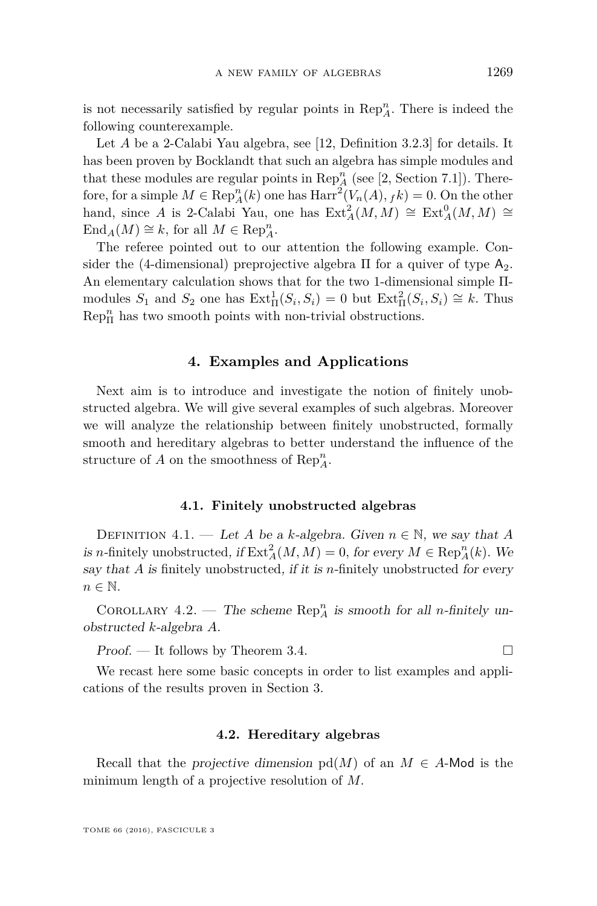is not necessarily satisfied by regular points in  $\text{Rep}_A^n$ . There is indeed the following counterexample.

Let *A* be a 2-Calabi Yau algebra, see [\[12,](#page-16-10) Definition 3.2.3] for details. It has been proven by Bocklandt that such an algebra has simple modules and that these modules are regular points in  $\text{Rep}_A^n$  (see [\[2,](#page-15-2) Section 7.1]). Therefore, for a simple  $M \in \text{Rep}_A^n(k)$  one has  $\text{Harr}^2(V_n(A), f_k) = 0$ . On the other hand, since *A* is 2-Calabi Yau, one has  $\text{Ext}_{A}^{2}(M, M) \cong \text{Ext}_{A}^{0}(M, M) \cong$  $\text{End}_A(M) \cong k$ , for all  $M \in \text{Rep}_A^n$ .

The referee pointed out to our attention the following example. Consider the (4-dimensional) preprojective algebra  $\Pi$  for a quiver of type  $A_2$ . An elementary calculation shows that for the two 1-dimensional simple Πmodules  $S_1$  and  $S_2$  one has  $\text{Ext}^1_{\Pi}(S_i, S_i) = 0$  but  $\text{Ext}^2_{\Pi}(S_i, S_i) \cong k$ . Thus  ${\mathop{\mathrm{Rep}}\nolimits}_\Pi^n$  has two smooth points with non-trivial obstructions.

#### **4. Examples and Applications**

<span id="page-9-0"></span>Next aim is to introduce and investigate the notion of finitely unobstructed algebra. We will give several examples of such algebras. Moreover we will analyze the relationship between finitely unobstructed, formally smooth and hereditary algebras to better understand the influence of the structure of *A* on the smoothness of  $\text{Rep}_A^n$ .

#### **4.1. Finitely unobstructed algebras**

DEFINITION 4.1. — Let *A* be a *k*-algebra. Given  $n \in \mathbb{N}$ , we say that *A* is *n*-finitely unobstructed, if  $\text{Ext}_{A}^{2}(M, M) = 0$ , for every  $M \in \text{Rep}_{A}^{n}(k)$ . We say that *A* is finitely unobstructed, if it is *n*-finitely unobstructed for every  $n \in \mathbb{N}$ .

<span id="page-9-1"></span>COROLLARY 4.2. — The scheme  $\text{Rep}_A^n$  is smooth for all *n*-finitely unobstructed *k*-algebra *A*.

Proof. − It follows by Theorem [3.4.](#page-7-1)

We recast here some basic concepts in order to list examples and applications of the results proven in Section [3.](#page-6-0)

#### **4.2. Hereditary algebras**

Recall that the projective dimension  $pd(M)$  of an  $M \in A$ -Mod is the minimum length of a projective resolution of *M.*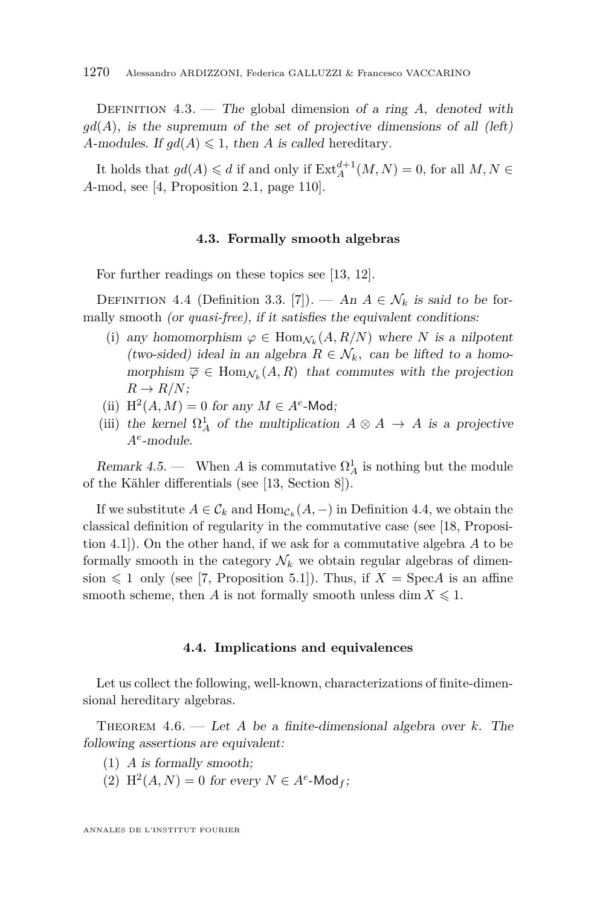DEFINITION 4.3. — The global dimension of a ring A, denoted with  $gd(A)$ , is the supremum of the set of projective dimensions of all (left) *A*-modules. If  $gd(A) \leq 1$ , then *A* is called hereditary.

It holds that  $gd(A) \le d$  if and only if  $\text{Ext}_{A}^{d+1}(M, N) = 0$ , for all  $M, N \in$ *A*-mod, see [\[4,](#page-15-1) Proposition 2.1, page 110].

#### **4.3. Formally smooth algebras**

<span id="page-10-0"></span>For further readings on these topics see [\[13,](#page-16-1) [12\]](#page-16-10).

<span id="page-10-2"></span>DEFINITION 4.4 (Definition 3.3. [\[7\]](#page-16-11)). — An  $A \in \mathcal{N}_k$  is said to be formally smooth (or *quasi-free*), if it satisfies the equivalent conditions:

- (i) any homomorphism  $\varphi \in \text{Hom}_{\mathcal{N}_k}(A, R/N)$  where *N* is a nilpotent (two-sided) ideal in an algebra  $R \in \mathcal{N}_k$ , can be lifted to a homomorphism  $\overline{\varphi} \in \text{Hom}_{\mathcal{N}_k}(A, R)$  that commutes with the projection  $R \rightarrow R/N$ ;
- (ii)  $H^2(A, M) = 0$  for any  $M \in A^e$ -Mod;
- (iii) the kernel  $\Omega^1_A$  of the multiplication  $A \otimes A \rightarrow A$  is a projective *A<sup>e</sup>* -module.

Remark 4.5. — When *A* is commutative  $\Omega_A^1$  is nothing but the module of the Kähler differentials (see [\[13,](#page-16-1) Section 8]).

If we substitute  $A \in \mathcal{C}_k$  and  $\text{Hom}_{\mathcal{C}_k}(A, -)$  in Definition [4.4,](#page-10-2) we obtain the classical definition of regularity in the commutative case (see [\[18,](#page-16-2) Proposition 4.1]). On the other hand, if we ask for a commutative algebra *A* to be formally smooth in the category  $\mathcal{N}_k$  we obtain regular algebras of dimension  $\leq 1$  only (see [\[7,](#page-16-11) Proposition 5.1]). Thus, if  $X = \text{Spec} A$  is an affine smooth scheme, then *A* is not formally smooth unless dim  $X \leq 1$ .

#### **4.4. Implications and equivalences**

Let us collect the following, well-known, characterizations of finite-dimensional hereditary algebras.

<span id="page-10-1"></span>Theorem 4.6. — Let *A* be a finite-dimensional algebra over *k.* The following assertions are equivalent:

- (1) *A* is formally smooth;
- (2)  $H^2(A, N) = 0$  for every  $N \in A^e$ -Mod<sub>f</sub>;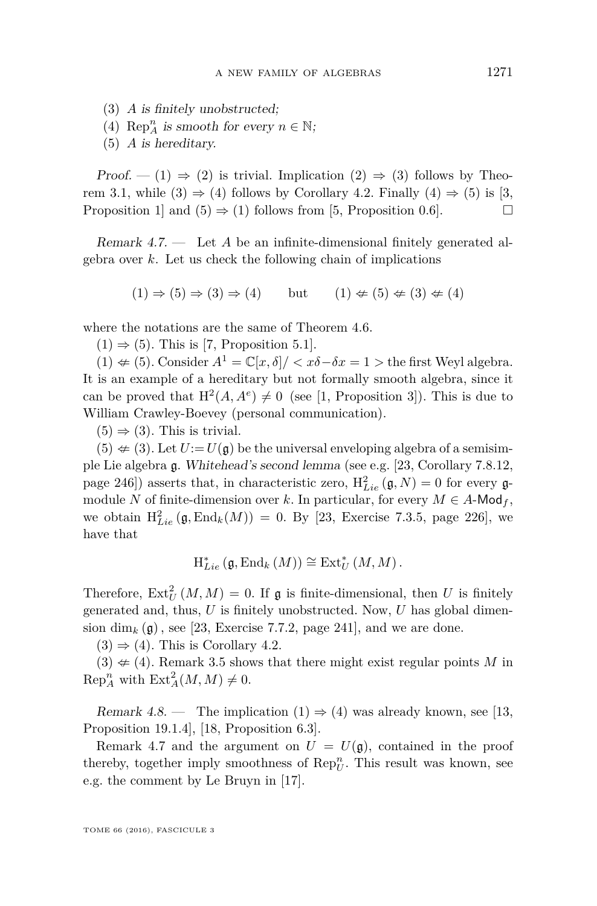- (3) *A* is finitely unobstructed;
- (4) Rep<sub>*A*</sub> is smooth for every  $n \in \mathbb{N}$ ;
- (5) *A* is hereditary.

Proof. — (1)  $\Rightarrow$  (2) is trivial. Implication (2)  $\Rightarrow$  (3) follows by Theo-rem [3.1,](#page-6-1) while  $(3) \Rightarrow (4)$  follows by Corollary [4.2.](#page-9-1) Finally  $(4) \Rightarrow (5)$  is [\[3,](#page-15-0) Proposition 1 and  $(5) \Rightarrow (1)$  follows from [\[5,](#page-16-12) Proposition 0.6].

<span id="page-11-0"></span>Remark 4.7. — Let *A* be an infinite-dimensional finitely generated algebra over *k.* Let us check the following chain of implications

 $(1) \Rightarrow (5) \Rightarrow (3) \Rightarrow (4)$  but  $(1) \notin (5) \notin (3) \notin (4)$ 

where the notations are the same of Theorem [4.6.](#page-10-1)

 $(1) \Rightarrow (5)$ . This is [\[7,](#page-16-11) Proposition 5.1].

(1)  $\text{⊉}$  (5)*.* Consider  $A^1 = \mathbb{C}[x, \delta] / \langle x\delta - \delta x = 1 \rangle$  the first Weyl algebra. It is an example of a hereditary but not formally smooth algebra, since it can be proved that  $H^2(A, A^e) \neq 0$  (see [\[1,](#page-15-3) Proposition 3]). This is due to William Crawley-Boevey (personal communication).

 $(5) \Rightarrow (3)$ . This is trivial.

 $(5) \neq (3)$ . Let  $U := U(\mathfrak{g})$  be the universal enveloping algebra of a semisimple Lie algebra g. Whitehead's second lemma (see e.g. [\[23,](#page-16-9) Corollary 7.8.12, page 246]) asserts that, in characteristic zero,  $H_{Lie}^2(\mathfrak{g}, N) = 0$  for every  $\mathfrak{g}$ module *N* of finite-dimension over *k*. In particular, for every  $M \in A$ -Mod<sub>f</sub>, we obtain  $H_{Lie}^2(\mathfrak{g}, \text{End}_k(M)) = 0$ . By [\[23,](#page-16-9) Exercise 7.3.5, page 226], we have that

$$
\mathrm{H}^*_{Lie}\left(\mathfrak{g},\mathrm{End}_k\left(M\right)\right)\cong \mathrm{Ext}^*_{U}\left(M,M\right).
$$

Therefore,  $\text{Ext}^2_U(M, M) = 0$ . If  $\mathfrak g$  is finite-dimensional, then *U* is finitely generated and, thus, *U* is finitely unobstructed. Now, *U* has global dimension dim<sub>k</sub>  $(g)$ , see [\[23,](#page-16-9) Exercise 7.7.2, page 241], and we are done.

 $(3) \Rightarrow (4)$ . This is Corollary [4.2.](#page-9-1)

 $(3) \notin (4)$ . Remark [3.5](#page-8-0) shows that there might exist regular points M in  $\text{Rep}_A^n$  with  $\text{Ext}_A^2(M, M) \neq 0$ .

Remark 4.8. — The implication  $(1) \Rightarrow (4)$  was already known, see [\[13,](#page-16-1) Proposition 19.1.4], [\[18,](#page-16-2) Proposition 6.3].

Remark [4.7](#page-11-0) and the argument on  $U = U(\mathfrak{g})$ , contained in the proof thereby, together imply smoothness of  $\text{Rep}_{U}^{n}$ . This result was known, see e.g. the comment by Le Bruyn in [\[17\]](#page-16-13).

TOME 66 (2016), FASCICULE 3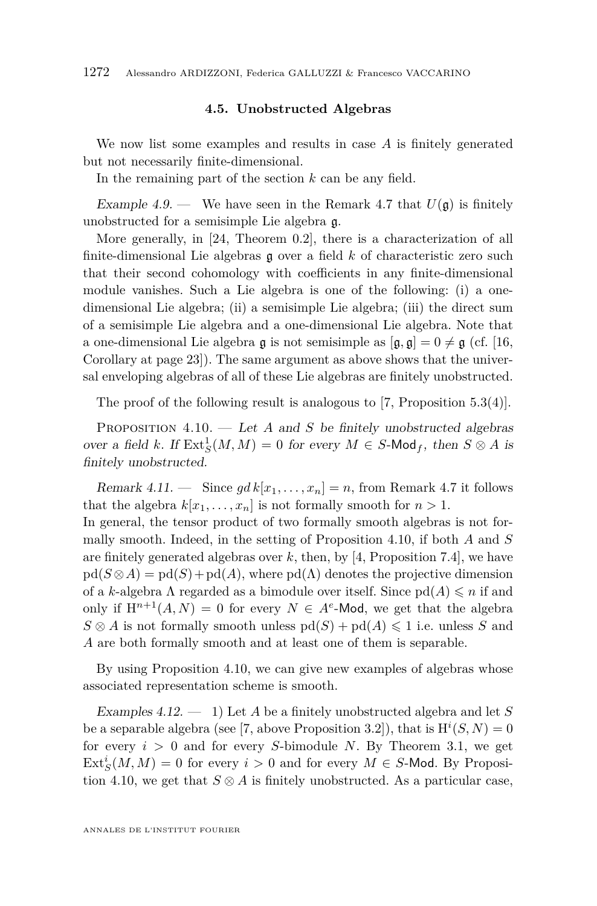#### **4.5. Unobstructed Algebras**

We now list some examples and results in case *A* is finitely generated but not necessarily finite-dimensional.

In the remaining part of the section *k* can be any field.

<span id="page-12-2"></span>Example 4.9. — We have seen in the Remark [4.7](#page-11-0) that  $U(\mathfrak{g})$  is finitely unobstructed for a semisimple Lie algebra g.

More generally, in [\[24,](#page-16-14) Theorem 0.2], there is a characterization of all finite-dimensional Lie algebras g over a field *k* of characteristic zero such that their second cohomology with coefficients in any finite-dimensional module vanishes. Such a Lie algebra is one of the following: (i) a onedimensional Lie algebra; (ii) a semisimple Lie algebra; (iii) the direct sum of a semisimple Lie algebra and a one-dimensional Lie algebra. Note that a one-dimensional Lie algebra g is not semisimple as  $[g, \bar{g}] = 0 \neq \bar{g}$  (cf. [\[16,](#page-16-15) Corollary at page 23]). The same argument as above shows that the universal enveloping algebras of all of these Lie algebras are finitely unobstructed.

The proof of the following result is analogous to [\[7,](#page-16-11) Proposition 5.3(4)].

<span id="page-12-1"></span>PROPOSITION 4.10. — Let *A* and *S* be finitely unobstructed algebras over a field *k*. If  $\text{Ext}^1_S(M, M) = 0$  for every  $M \in S$ -Mod<sub>f</sub>, then  $S \otimes A$  is finitely unobstructed.

Remark 4.11. — Since  $gdk[x_1, \ldots, x_n] = n$ , from Remark [4.7](#page-11-0) it follows that the algebra  $k[x_1, \ldots, x_n]$  is not formally smooth for  $n > 1$ . In general, the tensor product of two formally smooth algebras is not formally smooth. Indeed, in the setting of Proposition [4.10,](#page-12-1) if both *A* and *S* are finitely generated algebras over *k*, then, by [\[4,](#page-15-1) Proposition 7.4], we have  $pd(S \otimes A) = pd(S) + pd(A)$ , where  $pd(\Lambda)$  denotes the projective dimension of a *k*-algebra  $\Lambda$  regarded as a bimodule over itself. Since  $\text{pd}(A) \leq n$  if and only if  $H^{n+1}(A, N) = 0$  for every  $N \in A^e$ -Mod, we get that the algebra  $S \otimes A$  is not formally smooth unless  $\text{pd}(S) + \text{pd}(A) \leq 1$  i.e. unless *S* and *A* are both formally smooth and at least one of them is separable.

By using Proposition [4.10,](#page-12-1) we can give new examples of algebras whose associated representation scheme is smooth.

<span id="page-12-0"></span>Examples 4.12. — 1) Let *A* be a finitely unobstructed algebra and let *S* be a separable algebra (see [\[7,](#page-16-11) above Proposition 3.2]), that is  $H^{i}(S, N) = 0$ for every *i >* 0 and for every *S*-bimodule *N*. By Theorem [3.1,](#page-6-1) we get  $\text{Ext}_{S}^{i}(M, M) = 0$  for every  $i > 0$  and for every  $M \in S$ -Mod. By Proposi-tion [4.10,](#page-12-1) we get that  $S \otimes A$  is finitely unobstructed. As a particular case,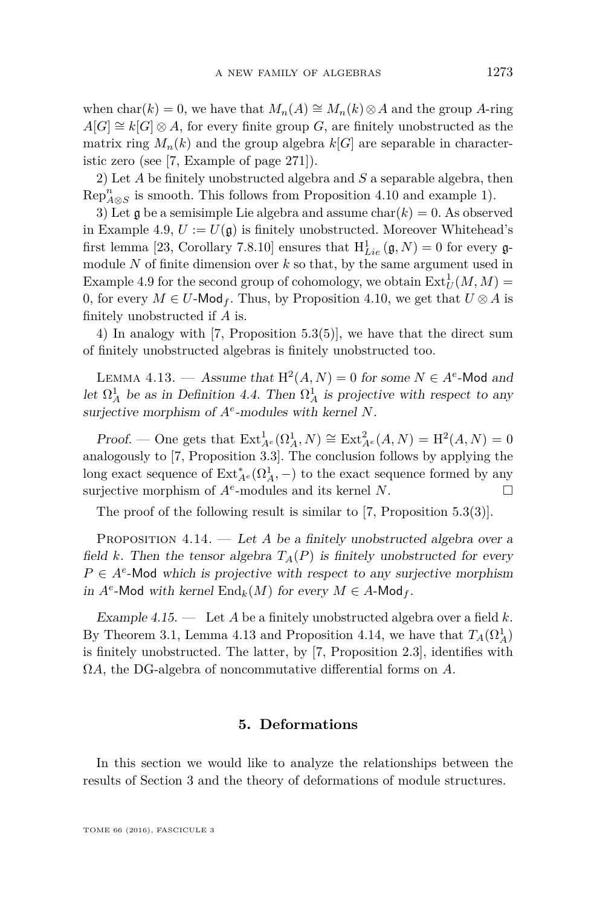when  $char(k) = 0$ , we have that  $M_n(A) \cong M_n(k) \otimes A$  and the group *A*-ring  $A[G] \cong k[G] \otimes A$ , for every finite group *G*, are finitely unobstructed as the matrix ring  $M_n(k)$  and the group algebra  $k[G]$  are separable in characteristic zero (see [\[7,](#page-16-11) Example of page 271]).

2) Let *A* be finitely unobstructed algebra and *S* a separable algebra, then  $\text{Rep}_{A \otimes S}^n$  is smooth. This follows from Proposition [4.10](#page-12-1) and example 1).

3) Let  $\frak g$  be a semisimple Lie algebra and assume  $char(k) = 0$ . As observed in Example [4.9,](#page-12-2)  $U := U(\mathfrak{g})$  is finitely unobstructed. Moreover Whitehead's first lemma [\[23,](#page-16-9) Corollary 7.8.10] ensures that  $H_{Lie}^1(\mathfrak{g},N) = 0$  for every  $\mathfrak{g}$ module *N* of finite dimension over *k* so that, by the same argument used in Example [4.9](#page-12-2) for the second group of cohomology, we obtain  $\text{Ext}^1_U(M, M)$  = 0, for every  $M \in U$ -Mod<sub>f</sub>. Thus, by Proposition [4.10,](#page-12-1) we get that  $U \otimes A$  is finitely unobstructed if *A* is.

4) In analogy with [\[7,](#page-16-11) Proposition 5.3(5)], we have that the direct sum of finitely unobstructed algebras is finitely unobstructed too.

<span id="page-13-1"></span>LEMMA 4.13. — Assume that  $H^2(A, N) = 0$  for some  $N \in A^e$ -Mod and let  $\Omega^1_A$  be as in Definition [4.4.](#page-10-2) Then  $\Omega^1_A$  is projective with respect to any surjective morphism of *A<sup>e</sup>* -modules with kernel *N*.

*Proof.* — One gets that  $\text{Ext}_{A^e}^1(\Omega_A^1, N) \cong \text{Ext}_{A^e}^2(A, N) = H^2(A, N) = 0$ analogously to [\[7,](#page-16-11) Proposition 3.3]. The conclusion follows by applying the long exact sequence of  $\mathrm{Ext}_{A^e}^*(\Omega^1_A,-)$  to the exact sequence formed by any surjective morphism of  $A^e$ -modules and its kernel *N*.

The proof of the following result is similar to [\[7,](#page-16-11) Proposition 5.3(3)].

<span id="page-13-2"></span>PROPOSITION 4.14. — Let *A* be a finitely unobstructed algebra over a field *k*. Then the tensor algebra  $T_A(P)$  is finitely unobstructed for every  $P \in A^e$ -Mod which is projective with respect to any surjective morphism in  $A^e$ -Mod with kernel  $\text{End}_k(M)$  for every  $M \in A$ -Mod<sub>f</sub>.

Example 4.15. — Let *A* be a finitely unobstructed algebra over a field *k*. By Theorem [3.1,](#page-6-1) Lemma [4.13](#page-13-1) and Proposition [4.14,](#page-13-2) we have that  $T_A(\Omega_A^1)$ is finitely unobstructed. The latter, by [\[7,](#page-16-11) Proposition 2.3], identifies with Ω*A,* the DG-algebra of noncommutative differential forms on *A.*

#### **5. Deformations**

<span id="page-13-0"></span>In this section we would like to analyze the relationships between the results of Section [3](#page-6-0) and the theory of deformations of module structures.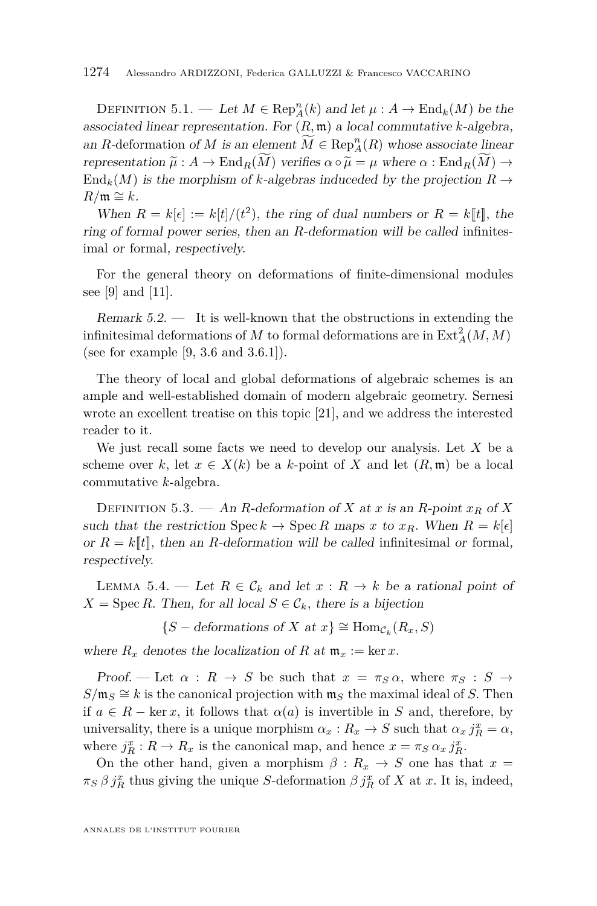DEFINITION 5.1. — Let  $M \in \text{Rep}_A^n(k)$  and let  $\mu : A \to \text{End}_k(M)$  be the associated linear representation. For  $(R, \mathfrak{m})$  a local commutative *k*-algebra, an *R*-deformation of *M* is an element  $\overline{M} \in \text{Rep}_A^n(R)$  whose associate linear representation  $\widetilde{\mu}: A \to \text{End}_{R}(\widetilde{M})$  verifies  $\alpha \circ \widetilde{\mu} = \mu$  where  $\alpha: \text{End}_{R}(\widetilde{M}) \to$  $\text{End}_k(M)$  is the morphism of *k*-algebras induceded by the projection  $R \to$  $R$ / $m$  ≅  $k$ .

When  $R = k[\epsilon] := k[t]/(t^2)$ , the ring of dual numbers or  $R = k[[t]]$ , the ring of formal power series, then an *R*-deformation will be called infinitesimal or formal, respectively.

For the general theory on deformations of finite-dimensional modules see [\[9\]](#page-16-3) and [\[11\]](#page-16-16).

Remark  $5.2.$  — It is well-known that the obstructions in extending the infinitesimal deformations of  $M$  to formal deformations are in  $\text{Ext}_{A}^{2}(M, M)$ (see for example [\[9,](#page-16-3) 3.6 and 3.6.1]).

The theory of local and global deformations of algebraic schemes is an ample and well-established domain of modern algebraic geometry. Sernesi wrote an excellent treatise on this topic [\[21\]](#page-16-17), and we address the interested reader to it.

We just recall some facts we need to develop our analysis. Let *X* be a scheme over *k*, let  $x \in X(k)$  be a *k*-point of X and let  $(R, \mathfrak{m})$  be a local commutative *k*-algebra.

DEFINITION 5.3. — An *R*-deformation of *X* at *x* is an *R*-point  $x_R$  of *X* such that the restriction  $\text{Spec } k \to \text{Spec } R$  maps x to  $x_R$ . When  $R = k[\epsilon]$ or  $R = k[[t]]$ , then an *R*-deformation will be called infinitesimal or formal, respectively.

LEMMA 5.4. — Let  $R \in \mathcal{C}_k$  and let  $x : R \to k$  be a rational point of  $X = \text{Spec } R$ . Then, for all local  $S \in \mathcal{C}_k$ , there is a bijection

{*S* − deformations of *X* at  $x$ }  $\cong$  Hom<sub>C<sub>k</sub></sub>( $R_x$ , *S*)

where  $R_x$  denotes the localization of R at  $\mathfrak{m}_x := \ker x$ .

Proof. — Let  $\alpha$ :  $R \to S$  be such that  $x = \pi_S \alpha$ , where  $\pi_S : S \to$  $S/\mathfrak{m}_S \cong k$  is the canonical projection with  $\mathfrak{m}_S$  the maximal ideal of *S*. Then if  $a \in R$  – ker *x*, it follows that  $\alpha(a)$  is invertible in *S* and, therefore, by universality, there is a unique morphism  $\alpha_x : R_x \to S$  such that  $\alpha_x j_R^x = \alpha$ , where  $j_R^x : R \to R_x$  is the canonical map, and hence  $x = \pi_S \alpha_x j_R^x$ .

On the other hand, given a morphism  $\beta: R_x \to S$  one has that  $x =$  $\pi$ <sup>*S*</sup> *β j*<sup>*x*</sup><sub>*R*</sub> thus giving the unique *S*-deformation  $\beta$  *j*<sup>*x*</sup><sub>*R*</sub> of *X* at *x*. It is, indeed,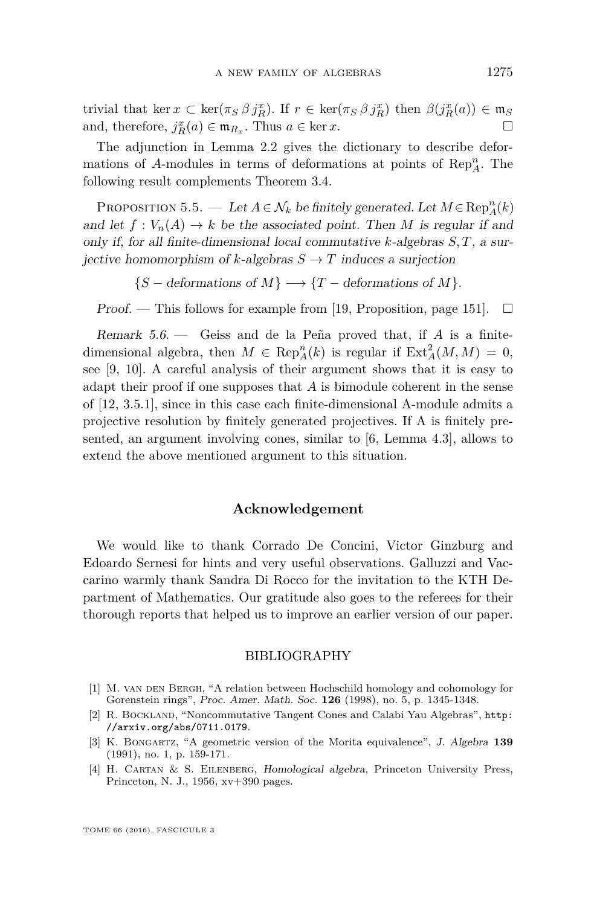trivial that ker  $x \text{ }\subset \text{ker}(\pi_S \beta j_R^x)$ . If  $r \in \text{ker}(\pi_S \beta j_R^x)$  then  $\beta(j_R^x(a)) \in \mathfrak{m}_S$ and, therefore,  $j_R^x(a) \in \mathfrak{m}_{R_x}$ . Thus  $a \in \ker x$ .

The adjunction in Lemma [2.2](#page-5-1) gives the dictionary to describe deformations of *A*-modules in terms of deformations at points of  $\text{Rep}_A^n$ . The following result complements Theorem [3.4.](#page-7-1)

PROPOSITION 5.5. — Let  $A \in \mathcal{N}_k$  be finitely generated. Let  $M \in \text{Rep}_A^n(k)$ and let  $f: V_n(A) \to k$  be the associated point. Then M is regular if and only if, for all finite-dimensional local commutative *k*-algebras *S, T*, a surjective homomorphism of *k*-algebras  $S \to T$  induces a surjection

 ${S - deformations of M} \longrightarrow {T - deformations of M}$ .

Proof. — This follows for example from [\[19,](#page-16-18) Proposition, page 151].  $\Box$ 

Remark 5.6. — Geiss and de la Peña proved that, if *A* is a finitedimensional algebra, then  $M \in \text{Rep}_A^n(k)$  is regular if  $\text{Ext}_A^2(M, M) = 0$ , see [\[9,](#page-16-3) [10\]](#page-16-4). A careful analysis of their argument shows that it is easy to adapt their proof if one supposes that *A* is bimodule coherent in the sense of [\[12,](#page-16-10) 3.5.1], since in this case each finite-dimensional A-module admits a projective resolution by finitely generated projectives. If A is finitely presented, an argument involving cones, similar to [\[6,](#page-16-19) Lemma 4.3], allows to extend the above mentioned argument to this situation.

#### **Acknowledgement**

We would like to thank Corrado De Concini, Victor Ginzburg and Edoardo Sernesi for hints and very useful observations. Galluzzi and Vaccarino warmly thank Sandra Di Rocco for the invitation to the KTH Department of Mathematics. Our gratitude also goes to the referees for their thorough reports that helped us to improve an earlier version of our paper.

#### BIBLIOGRAPHY

- <span id="page-15-3"></span>[1] M. van den Bergh, "A relation between Hochschild homology and cohomology for Gorenstein rings", Proc. Amer. Math. Soc. **126** (1998), no. 5, p. 1345-1348.
- <span id="page-15-2"></span>[2] R. BOCKLAND, "Noncommutative Tangent Cones and Calabi Yau Algebras", [http:](http://arxiv.org/abs/0711.0179) [//arxiv.org/abs/0711.0179](http://arxiv.org/abs/0711.0179).
- <span id="page-15-0"></span>[3] K. Bongartz, "A geometric version of the Morita equivalence", J. Algebra **139** (1991), no. 1, p. 159-171.
- <span id="page-15-1"></span>[4] H. Cartan & S. Eilenberg, Homological algebra, Princeton University Press, Princeton, N. J., 1956, xv+390 pages.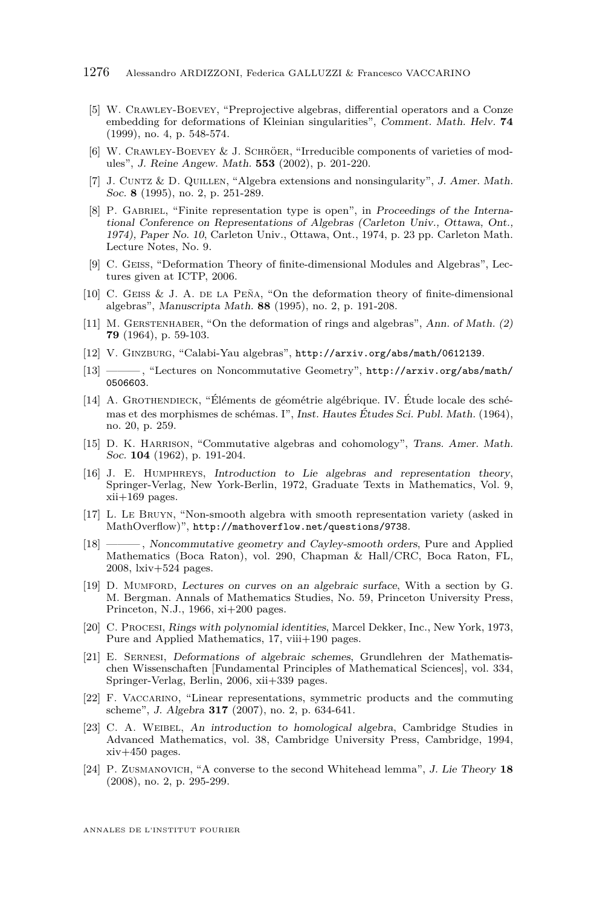- <span id="page-16-12"></span>[5] W. Crawley-Boevey, "Preprojective algebras, differential operators and a Conze embedding for deformations of Kleinian singularities", Comment. Math. Helv. **74** (1999), no. 4, p. 548-574.
- <span id="page-16-19"></span>[6] W. Crawley-Boevey & J. Schröer, "Irreducible components of varieties of modules", J. Reine Angew. Math. **553** (2002), p. 201-220.
- <span id="page-16-11"></span>[7] J. Cuntz & D. Quillen, "Algebra extensions and nonsingularity", J. Amer. Math. Soc. **8** (1995), no. 2, p. 251-289.
- <span id="page-16-6"></span>[8] P. GABRIEL, "Finite representation type is open", in Proceedings of the International Conference on Representations of Algebras (Carleton Univ., Ottawa, Ont., 1974), Paper No. 10, Carleton Univ., Ottawa, Ont., 1974, p. 23 pp. Carleton Math. Lecture Notes, No. 9.
- <span id="page-16-3"></span>[9] C. GEISS, "Deformation Theory of finite-dimensional Modules and Algebras", Lectures given at ICTP, 2006.
- <span id="page-16-4"></span>[10] C. Geiss & J. A. de la Peña, "On the deformation theory of finite-dimensional algebras", Manuscripta Math. **88** (1995), no. 2, p. 191-208.
- <span id="page-16-16"></span>[11] M. GERSTENHABER, "On the deformation of rings and algebras", Ann. of Math. (2) **79** (1964), p. 59-103.
- <span id="page-16-10"></span>[12] V. Ginzburg, "Calabi-Yau algebras", <http://arxiv.org/abs/math/0612139>.
- <span id="page-16-1"></span>[13] ——— , "Lectures on Noncommutative Geometry", [http://arxiv.org/abs/math/](http://arxiv.org/abs/math/0506603) [0506603](http://arxiv.org/abs/math/0506603).
- <span id="page-16-0"></span>[14] A. Grothendieck, "Éléments de géométrie algébrique. IV. Étude locale des schémas et des morphismes de schémas. I", Inst. Hautes Études Sci. Publ. Math. (1964), no. 20, p. 259.
- <span id="page-16-5"></span>[15] D. K. HARRISON, "Commutative algebras and cohomology", Trans. Amer. Math. Soc. **104** (1962), p. 191-204.
- <span id="page-16-15"></span>[16] J. E. Humphreys, Introduction to Lie algebras and representation theory, Springer-Verlag, New York-Berlin, 1972, Graduate Texts in Mathematics, Vol. 9,  $xii+169$  pages.
- <span id="page-16-13"></span>[17] L. Le Bruyn, "Non-smooth algebra with smooth representation variety (asked in MathOverflow)", <http://mathoverflow.net/questions/9738>.
- <span id="page-16-2"></span>[18] ——— , Noncommutative geometry and Cayley-smooth orders, Pure and Applied Mathematics (Boca Raton), vol. 290, Chapman & Hall/CRC, Boca Raton, FL, 2008, lxiv+524 pages.
- <span id="page-16-18"></span>[19] D. Mumford, Lectures on curves on an algebraic surface, With a section by G. M. Bergman. Annals of Mathematics Studies, No. 59, Princeton University Press, Princeton, N.J., 1966, xi+200 pages.
- <span id="page-16-7"></span>[20] C. Procesi, Rings with polynomial identities, Marcel Dekker, Inc., New York, 1973, Pure and Applied Mathematics, 17, viii+190 pages.
- <span id="page-16-17"></span>[21] E. Sernesi, Deformations of algebraic schemes, Grundlehren der Mathematischen Wissenschaften [Fundamental Principles of Mathematical Sciences], vol. 334, Springer-Verlag, Berlin, 2006, xii+339 pages.
- <span id="page-16-8"></span>[22] F. Vaccarino, "Linear representations, symmetric products and the commuting scheme", J. Algebra **317** (2007), no. 2, p. 634-641.
- <span id="page-16-9"></span>[23] C. A. Weibel, An introduction to homological algebra, Cambridge Studies in Advanced Mathematics, vol. 38, Cambridge University Press, Cambridge, 1994, xiv+450 pages.
- <span id="page-16-14"></span>[24] P. Zusmanovich, "A converse to the second Whitehead lemma", J. Lie Theory **18** (2008), no. 2, p. 295-299.